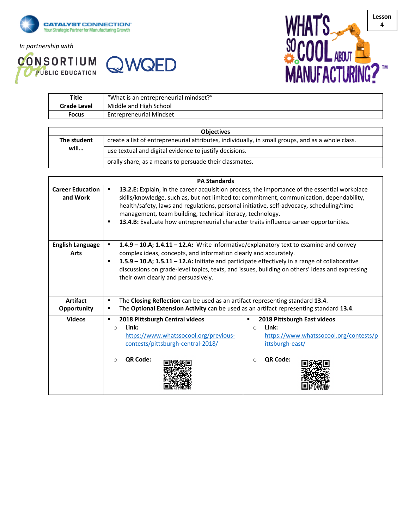

*In partnership with*





| <b>Title</b> | "What is an entrepreneurial mindset?" |  |
|--------------|---------------------------------------|--|
| Grade Level  | Middle and High School                |  |
| Focus        | <b>Entrepreneurial Mindset</b>        |  |

| <b>Objectives</b> |                                                                                                   |  |  |  |
|-------------------|---------------------------------------------------------------------------------------------------|--|--|--|
| The student       | create a list of entrepreneurial attributes, individually, in small groups, and as a whole class. |  |  |  |
| will              | use textual and digital evidence to justify decisions.                                            |  |  |  |
|                   | orally share, as a means to persuade their classmates.                                            |  |  |  |

| <b>PA Standards</b>                    |                                                                                                                                                                                                                                                                                                                                                                                                                                                        |  |  |  |  |  |
|----------------------------------------|--------------------------------------------------------------------------------------------------------------------------------------------------------------------------------------------------------------------------------------------------------------------------------------------------------------------------------------------------------------------------------------------------------------------------------------------------------|--|--|--|--|--|
| <b>Career Education</b><br>and Work    | 13.2.E: Explain, in the career acquisition process, the importance of the essential workplace<br>٠<br>skills/knowledge, such as, but not limited to: commitment, communication, dependability,<br>health/safety, laws and regulations, personal initiative, self-advocacy, scheduling/time<br>management, team building, technical literacy, technology.<br>13.4.B: Evaluate how entrepreneurial character traits influence career opportunities.<br>п |  |  |  |  |  |
| <b>English Language</b><br><b>Arts</b> | 1.4.9 - 10.A; 1.4.11 - 12.A: Write informative/explanatory text to examine and convey<br>$\blacksquare$<br>complex ideas, concepts, and information clearly and accurately.<br>1.5.9 - 10.A; 1.5.11 - 12.A: Initiate and participate effectively in a range of collaborative<br>٠<br>discussions on grade-level topics, texts, and issues, building on others' ideas and expressing<br>their own clearly and persuasively.                             |  |  |  |  |  |
| <b>Artifact</b>                        | The Closing Reflection can be used as an artifact representing standard 13.4.<br>٠                                                                                                                                                                                                                                                                                                                                                                     |  |  |  |  |  |
| Opportunity                            | The Optional Extension Activity can be used as an artifact representing standard 13.4.<br>п                                                                                                                                                                                                                                                                                                                                                            |  |  |  |  |  |
| <b>Videos</b>                          | 2018 Pittsburgh Central videos<br>2018 Pittsburgh East videos<br>٠<br>Link:<br>Link:<br>$\Omega$<br>$\Omega$<br>https://www.whatssocool.org/previous-<br>https://www.whatssocool.org/contests/p<br>contests/pittsburgh-central-2018/<br>ittsburgh-east/<br><b>QR Code:</b><br>QR Code:<br>∩<br>$\circ$                                                                                                                                                 |  |  |  |  |  |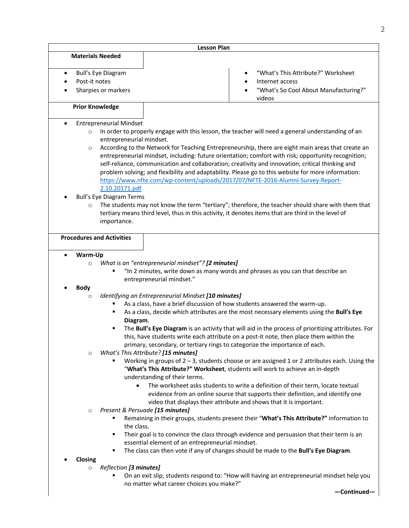|   |                                                                            | <b>Lesson Plan</b>                                                                                                                                             |                                                                                                                                                                                                                                                                                                                                                                                                                                                                                                                                                                                                                                                                                                                                                                                                                                                                                                                                                                                                                                                                                  |
|---|----------------------------------------------------------------------------|----------------------------------------------------------------------------------------------------------------------------------------------------------------|----------------------------------------------------------------------------------------------------------------------------------------------------------------------------------------------------------------------------------------------------------------------------------------------------------------------------------------------------------------------------------------------------------------------------------------------------------------------------------------------------------------------------------------------------------------------------------------------------------------------------------------------------------------------------------------------------------------------------------------------------------------------------------------------------------------------------------------------------------------------------------------------------------------------------------------------------------------------------------------------------------------------------------------------------------------------------------|
|   | <b>Materials Needed</b>                                                    |                                                                                                                                                                |                                                                                                                                                                                                                                                                                                                                                                                                                                                                                                                                                                                                                                                                                                                                                                                                                                                                                                                                                                                                                                                                                  |
| ٠ | Bull's Eye Diagram<br>Post-it notes<br>Sharpies or markers                 |                                                                                                                                                                | "What's This Attribute?" Worksheet<br>Internet access<br>"What's So Cool About Manufacturing?"<br>videos                                                                                                                                                                                                                                                                                                                                                                                                                                                                                                                                                                                                                                                                                                                                                                                                                                                                                                                                                                         |
|   | <b>Prior Knowledge</b>                                                     |                                                                                                                                                                |                                                                                                                                                                                                                                                                                                                                                                                                                                                                                                                                                                                                                                                                                                                                                                                                                                                                                                                                                                                                                                                                                  |
|   |                                                                            |                                                                                                                                                                |                                                                                                                                                                                                                                                                                                                                                                                                                                                                                                                                                                                                                                                                                                                                                                                                                                                                                                                                                                                                                                                                                  |
| ٠ | <b>Entrepreneurial Mindset</b><br>$\circ$<br>entrepreneurial mindset.<br>O |                                                                                                                                                                | In order to properly engage with this lesson, the teacher will need a general understanding of an<br>According to the Network for Teaching Entrepreneurship, there are eight main areas that create an<br>entrepreneurial mindset, including: future orientation; comfort with risk; opportunity recognition;<br>self-reliance, communication and collaboration; creativity and innovation; critical thinking and<br>problem solving; and flexibility and adaptability. Please go to this website for more information:<br>https://www.nfte.com/wp-content/uploads/2017/07/NFTE-2016-Alumni-Survey-Report-                                                                                                                                                                                                                                                                                                                                                                                                                                                                       |
|   | 2.10.20171.pdf<br><b>Bull's Eye Diagram Terms</b>                          |                                                                                                                                                                |                                                                                                                                                                                                                                                                                                                                                                                                                                                                                                                                                                                                                                                                                                                                                                                                                                                                                                                                                                                                                                                                                  |
|   | $\circ$<br>importance.<br><b>Procedures and Activities</b>                 |                                                                                                                                                                | The students may not know the term "tertiary"; therefore, the teacher should share with them that<br>tertiary means third level, thus in this activity, it denotes items that are third in the level of                                                                                                                                                                                                                                                                                                                                                                                                                                                                                                                                                                                                                                                                                                                                                                                                                                                                          |
|   |                                                                            |                                                                                                                                                                |                                                                                                                                                                                                                                                                                                                                                                                                                                                                                                                                                                                                                                                                                                                                                                                                                                                                                                                                                                                                                                                                                  |
|   | Warm-Up                                                                    |                                                                                                                                                                |                                                                                                                                                                                                                                                                                                                                                                                                                                                                                                                                                                                                                                                                                                                                                                                                                                                                                                                                                                                                                                                                                  |
|   | $\circ$<br><b>Body</b>                                                     | What is an "entrepreneurial mindset"? [2 minutes]<br>entrepreneurial mindset."                                                                                 | "In 2 minutes, write down as many words and phrases as you can that describe an                                                                                                                                                                                                                                                                                                                                                                                                                                                                                                                                                                                                                                                                                                                                                                                                                                                                                                                                                                                                  |
|   | $\circ$<br>Diagram.<br>$\circ$<br>$\bullet$<br>O<br>the class.<br>٠        | Identifying an Entrepreneurial Mindset [10 minutes]<br>What's This Attribute? [15 minutes]<br>understanding of their terms.<br>Present & Persuade [15 minutes] | As a class, have a brief discussion of how students answered the warm-up.<br>As a class, decide which attributes are the most necessary elements using the Bull's Eye<br>The Bull's Eye Diagram is an activity that will aid in the process of prioritizing attributes. For<br>this, have students write each attribute on a post-it note, then place them within the<br>primary, secondary, or tertiary rings to categorize the importance of each.<br>Working in groups of $2 - 3$ , students choose or are assigned 1 or 2 attributes each. Using the<br>"What's This Attribute?" Worksheet, students will work to achieve an in-depth<br>The worksheet asks students to write a definition of their term, locate textual<br>evidence from an online source that supports their definition, and identify one<br>video that displays their attribute and shows that it is important.<br>Remaining in their groups, students present their "What's This Attribute?" information to<br>Their goal is to convince the class through evidence and persuasion that their term is an |
|   | ٠                                                                          | essential element of an entrepreneurial mindset.                                                                                                               | The class can then vote if any of changes should be made to the Bull's Eye Diagram.                                                                                                                                                                                                                                                                                                                                                                                                                                                                                                                                                                                                                                                                                                                                                                                                                                                                                                                                                                                              |
|   | Closing                                                                    |                                                                                                                                                                |                                                                                                                                                                                                                                                                                                                                                                                                                                                                                                                                                                                                                                                                                                                                                                                                                                                                                                                                                                                                                                                                                  |
|   | Reflection [3 minutes]<br>$\circ$                                          | no matter what career choices you make?"                                                                                                                       | On an exit slip, students respond to: "How will having an entrepreneurial mindset help you<br>-Continued-                                                                                                                                                                                                                                                                                                                                                                                                                                                                                                                                                                                                                                                                                                                                                                                                                                                                                                                                                                        |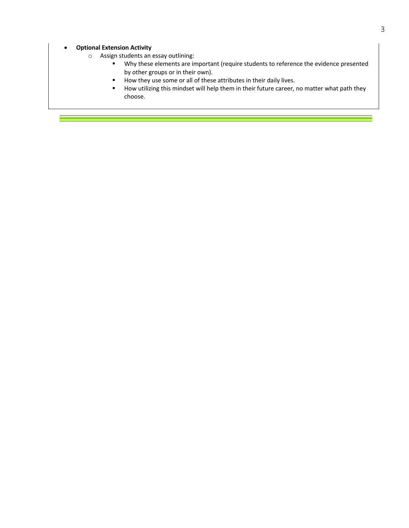## • **Optional Extension Activity**

- o Assign students an essay outlining:
	- § Why these elements are important (require students to reference the evidence presented by other groups or in their own).
	- How they use some or all of these attributes in their daily lives.
	- How utilizing this mindset will help them in their future career, no matter what path they choose.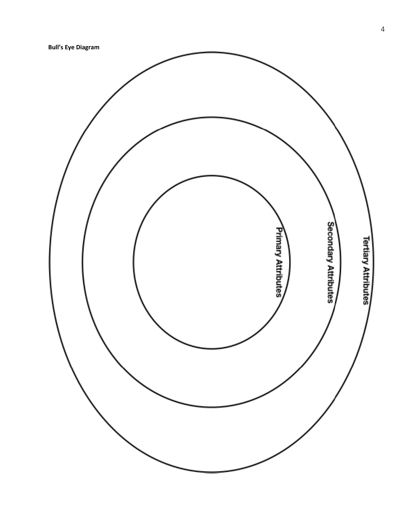